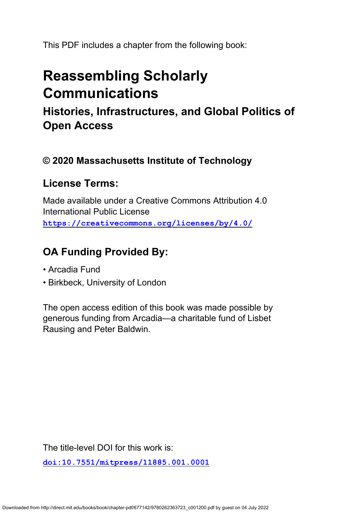This PDF includes a chapter from the following book:

# **Reassembling Scholarly Communications**

**Histories, Infrastructures, and Global Politics of Open Access**

### **© 2020 Massachusetts Institute of Technology**

### **License Terms:**

Made available under a Creative Commons Attribution 4.0 International Public License **<https://creativecommons.org/licenses/by/4.0/>**

## **OA Funding Provided By:**

- Arcadia Fund
- Birkbeck, University of London

The open access edition of this book was made possible by generous funding from Arcadia—a charitable fund of Lisbet Rausing and Peter Baldwin.

The title-level DOI for this work is:

**[doi:10.7551/mitpress/11885.001.0001](https://doi.org/10.7551/mitpress/11885.001.0001)**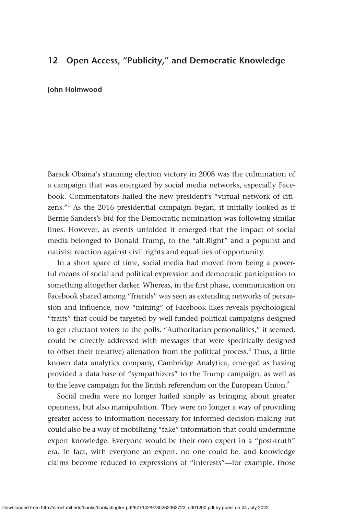#### **12 Open Access, "Publicity," and Democratic Knowledge**

#### **John Holmwood**

Barack Obama's stunning election victory in 2008 was the culmination of a campaign that was energized by social media networks, especially Facebook. Commentators hailed the new president's "virtual network of citizens."<sup>1</sup> As the 2016 presidential campaign began, it initially looked as if Bernie Sanders's bid for the Democratic nomination was following similar lines. However, as events unfolded it emerged that the impact of social media belonged to Donald Trump, to the "alt.Right" and a populist and nativist reaction against civil rights and equalities of opportunity.

In a short space of time, social media had moved from being a powerful means of social and political expression and democratic participation to something altogether darker. Whereas, in the first phase, communication on Facebook shared among "friends" was seen as extending networks of persuasion and influence, now "mining" of Facebook likes reveals psychological "traits" that could be targeted by well-funded political campaigns designed to get reluctant voters to the polls. "Authoritarian personalities," it seemed, could be directly addressed with messages that were specifically designed to offset their (relative) alienation from the political process.<sup>2</sup> Thus, a little known data analytics company, Cambridge Analytica, emerged as having provided a data base of "sympathizers" to the Trump campaign, as well as to the leave campaign for the British referendum on the European Union.<sup>3</sup>

Social media were no longer hailed simply as bringing about greater openness, but also manipulation. They were no longer a way of providing greater access to information necessary for informed decision-making but could also be a way of mobilizing "fake" information that could undermine expert knowledge. Everyone would be their own expert in a "post-truth" era. In fact, with everyone an expert, no one could be, and knowledge claims become reduced to expressions of "interests"—for example, those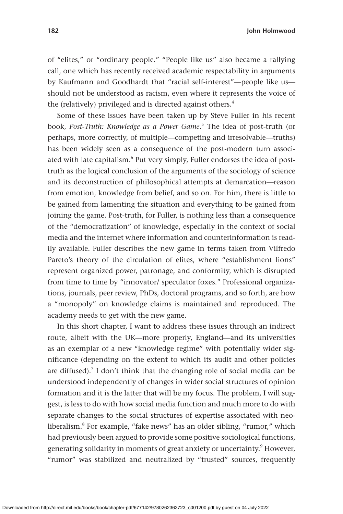of "elites," or "ordinary people." "People like us" also became a rallying call, one which has recently received academic respectability in arguments by Kaufmann and Goodhardt that "racial self-interest"—people like us should not be understood as racism, even where it represents the voice of the (relatively) privileged and is directed against others. $4$ 

Some of these issues have been taken up by Steve Fuller in his recent book, *Post-Truth: Knowledge as a Power Game*. 5 The idea of post-truth (or perhaps, more correctly, of multiple—competing and irresolvable—truths) has been widely seen as a consequence of the post-modern turn associated with late capitalism.<sup>6</sup> Put very simply, Fuller endorses the idea of posttruth as the logical conclusion of the arguments of the sociology of science and its deconstruction of philosophical attempts at demarcation—reason from emotion, knowledge from belief, and so on. For him, there is little to be gained from lamenting the situation and everything to be gained from joining the game. Post-truth, for Fuller, is nothing less than a consequence of the "democratization" of knowledge, especially in the context of social media and the internet where information and counterinformation is readily available. Fuller describes the new game in terms taken from Vilfredo Pareto's theory of the circulation of elites, where "establishment lions" represent organized power, patronage, and conformity, which is disrupted from time to time by "innovator/ speculator foxes." Professional organizations, journals, peer review, PhDs, doctoral programs, and so forth, are how a "monopoly" on knowledge claims is maintained and reproduced. The academy needs to get with the new game.

In this short chapter, I want to address these issues through an indirect route, albeit with the UK—more properly, England—and its universities as an exemplar of a new "knowledge regime" with potentially wider significance (depending on the extent to which its audit and other policies are diffused).<sup>7</sup> I don't think that the changing role of social media can be understood independently of changes in wider social structures of opinion formation and it is the latter that will be my focus. The problem, I will suggest, is less to do with how social media function and much more to do with separate changes to the social structures of expertise associated with neoliberalism.<sup>8</sup> For example, "fake news" has an older sibling, "rumor," which had previously been argued to provide some positive sociological functions, generating solidarity in moments of great anxiety or uncertainty.<sup>9</sup> However, "rumor" was stabilized and neutralized by "trusted" sources, frequently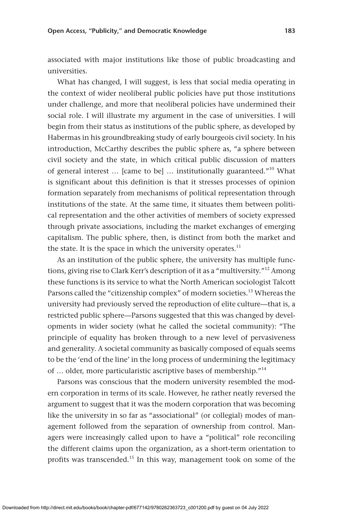associated with major institutions like those of public broadcasting and universities.

What has changed, I will suggest, is less that social media operating in the context of wider neoliberal public policies have put those institutions under challenge, and more that neoliberal policies have undermined their social role. I will illustrate my argument in the case of universities. I will begin from their status as institutions of the public sphere, as developed by Habermas in his groundbreaking study of early bourgeois civil society. In his introduction, McCarthy describes the public sphere as, "a sphere between civil society and the state, in which critical public discussion of matters of general interest … [came to be] … institutionally guaranteed."10 What is significant about this definition is that it stresses processes of opinion formation separately from mechanisms of political representation through institutions of the state. At the same time, it situates them between political representation and the other activities of members of society expressed through private associations, including the market exchanges of emerging capitalism. The public sphere, then, is distinct from both the market and the state. It is the space in which the university operates. $11$ 

As an institution of the public sphere, the university has multiple functions, giving rise to Clark Kerr's description of it as a "multiversity."12 Among these functions is its service to what the North American sociologist Talcott Parsons called the "citizenship complex" of modern societies.<sup>13</sup> Whereas the university had previously served the reproduction of elite culture—that is, a restricted public sphere—Parsons suggested that this was changed by developments in wider society (what he called the societal community): "The principle of equality has broken through to a new level of pervasiveness and generality. A societal community as basically composed of equals seems to be the 'end of the line' in the long process of undermining the legitimacy of … older, more particularistic ascriptive bases of membership."14

Parsons was conscious that the modern university resembled the modern corporation in terms of its scale. However, he rather neatly reversed the argument to suggest that it was the modern corporation that was becoming like the university in so far as "associational" (or collegial) modes of management followed from the separation of ownership from control. Managers were increasingly called upon to have a "political" role reconciling the different claims upon the organization, as a short-term orientation to profits was transcended.<sup>15</sup> In this way, management took on some of the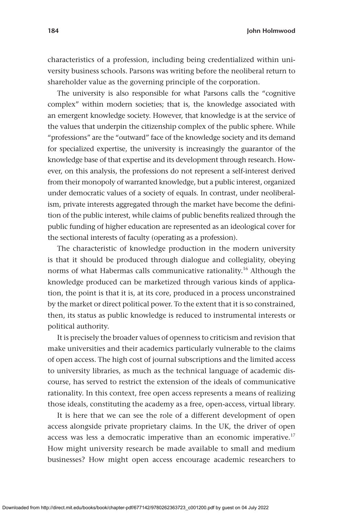characteristics of a profession, including being credentialized within university business schools. Parsons was writing before the neoliberal return to shareholder value as the governing principle of the corporation.

The university is also responsible for what Parsons calls the "cognitive complex" within modern societies; that is, the knowledge associated with an emergent knowledge society. However, that knowledge is at the service of the values that underpin the citizenship complex of the public sphere. While "professions" are the "outward" face of the knowledge society and its demand for specialized expertise, the university is increasingly the guarantor of the knowledge base of that expertise and its development through research. However, on this analysis, the professions do not represent a self-interest derived from their monopoly of warranted knowledge, but a public interest, organized under democratic values of a society of equals. In contrast, under neoliberalism, private interests aggregated through the market have become the definition of the public interest, while claims of public benefits realized through the public funding of higher education are represented as an ideological cover for the sectional interests of faculty (operating as a profession).

The characteristic of knowledge production in the modern university is that it should be produced through dialogue and collegiality, obeying norms of what Habermas calls communicative rationality.<sup>16</sup> Although the knowledge produced can be marketized through various kinds of application, the point is that it is, at its core, produced in a process unconstrained by the market or direct political power. To the extent that it is so constrained, then, its status as public knowledge is reduced to instrumental interests or political authority.

It is precisely the broader values of openness to criticism and revision that make universities and their academics particularly vulnerable to the claims of open access. The high cost of journal subscriptions and the limited access to university libraries, as much as the technical language of academic discourse, has served to restrict the extension of the ideals of communicative rationality. In this context, free open access represents a means of realizing those ideals, constituting the academy as a free, open-access, virtual library.

It is here that we can see the role of a different development of open access alongside private proprietary claims. In the UK, the driver of open access was less a democratic imperative than an economic imperative.<sup>17</sup> How might university research be made available to small and medium businesses? How might open access encourage academic researchers to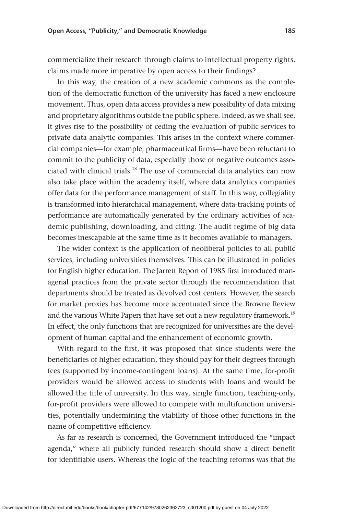commercialize their research through claims to intellectual property rights, claims made more imperative by open access to their findings?

In this way, the creation of a new academic commons as the completion of the democratic function of the university has faced a new enclosure movement. Thus, open data access provides a new possibility of data mixing and proprietary algorithms outside the public sphere. Indeed, as we shall see, it gives rise to the possibility of ceding the evaluation of public services to private data analytic companies. This arises in the context where commercial companies—for example, pharmaceutical firms—have been reluctant to commit to the publicity of data, especially those of negative outcomes associated with clinical trials.18 The use of commercial data analytics can now also take place within the academy itself, where data analytics companies offer data for the performance management of staff. In this way, collegiality is transformed into hierarchical management, where data-tracking points of performance are automatically generated by the ordinary activities of academic publishing, downloading, and citing. The audit regime of big data becomes inescapable at the same time as it becomes available to managers.

The wider context is the application of neoliberal policies to all public services, including universities themselves. This can be illustrated in policies for English higher education. The Jarrett Report of 1985 first introduced managerial practices from the private sector through the recommendation that departments should be treated as devolved cost centers. However, the search for market proxies has become more accentuated since the Browne Review and the various White Papers that have set out a new regulatory framework.<sup>19</sup> In effect, the only functions that are recognized for universities are the development of human capital and the enhancement of economic growth.

With regard to the first, it was proposed that since students were the beneficiaries of higher education, they should pay for their degrees through fees (supported by income-contingent loans). At the same time, for-profit providers would be allowed access to students with loans and would be allowed the title of university. In this way, single function, teaching-only, for-profit providers were allowed to compete with multifunction universities, potentially undermining the viability of those other functions in the name of competitive efficiency.

As far as research is concerned, the Government introduced the "impact agenda," where all publicly funded research should show a direct benefit for identifiable users. Whereas the logic of the teaching reforms was that *the*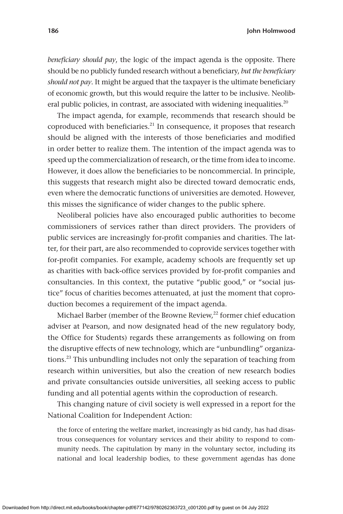*beneficiary should pay*, the logic of the impact agenda is the opposite. There should be no publicly funded research without a beneficiary, *but the beneficiary should not pay*. It might be argued that the taxpayer is the ultimate beneficiary of economic growth, but this would require the latter to be inclusive. Neoliberal public policies, in contrast, are associated with widening inequalities.<sup>20</sup>

The impact agenda, for example, recommends that research should be coproduced with beneficiaries. $^{21}$  In consequence, it proposes that research should be aligned with the interests of those beneficiaries and modified in order better to realize them. The intention of the impact agenda was to speed up the commercialization of research, or the time from idea to income. However, it does allow the beneficiaries to be noncommercial. In principle, this suggests that research might also be directed toward democratic ends, even where the democratic functions of universities are demoted. However, this misses the significance of wider changes to the public sphere.

Neoliberal policies have also encouraged public authorities to become commissioners of services rather than direct providers. The providers of public services are increasingly for-profit companies and charities. The latter, for their part, are also recommended to coprovide services together with for-profit companies. For example, academy schools are frequently set up as charities with back-office services provided by for-profit companies and consultancies. In this context, the putative "public good," or "social justice" focus of charities becomes attenuated, at just the moment that coproduction becomes a requirement of the impact agenda.

Michael Barber (member of the Browne Review,<sup>22</sup> former chief education adviser at Pearson, and now designated head of the new regulatory body, the Office for Students) regards these arrangements as following on from the disruptive effects of new technology, which are "unbundling" organizations.23 This unbundling includes not only the separation of teaching from research within universities, but also the creation of new research bodies and private consultancies outside universities, all seeking access to public funding and all potential agents within the coproduction of research.

This changing nature of civil society is well expressed in a report for the National Coalition for Independent Action:

the force of entering the welfare market, increasingly as bid candy, has had disastrous consequences for voluntary services and their ability to respond to community needs. The capitulation by many in the voluntary sector, including its national and local leadership bodies, to these government agendas has done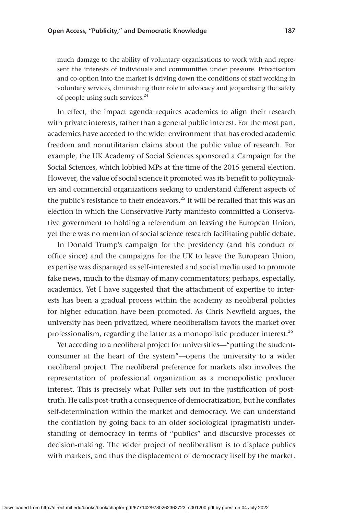much damage to the ability of voluntary organisations to work with and represent the interests of individuals and communities under pressure. Privatisation and co-option into the market is driving down the conditions of staff working in voluntary services, diminishing their role in advocacy and jeopardising the safety of people using such services.<sup>24</sup>

In effect, the impact agenda requires academics to align their research with private interests, rather than a general public interest. For the most part, academics have acceded to the wider environment that has eroded academic freedom and nonutilitarian claims about the public value of research. For example, the UK Academy of Social Sciences sponsored a Campaign for the Social Sciences, which lobbied MPs at the time of the 2015 general election. However, the value of social science it promoted was its benefit to policymakers and commercial organizations seeking to understand different aspects of the public's resistance to their endeavors.<sup>25</sup> It will be recalled that this was an election in which the Conservative Party manifesto committed a Conservative government to holding a referendum on leaving the European Union, yet there was no mention of social science research facilitating public debate.

In Donald Trump's campaign for the presidency (and his conduct of office since) and the campaigns for the UK to leave the European Union, expertise was disparaged as self-interested and social media used to promote fake news, much to the dismay of many commentators; perhaps, especially, academics. Yet I have suggested that the attachment of expertise to interests has been a gradual process within the academy as neoliberal policies for higher education have been promoted. As Chris Newfield argues, the university has been privatized, where neoliberalism favors the market over professionalism, regarding the latter as a monopolistic producer interest.<sup>26</sup>

Yet acceding to a neoliberal project for universities—"putting the studentconsumer at the heart of the system"—opens the university to a wider neoliberal project. The neoliberal preference for markets also involves the representation of professional organization as a monopolistic producer interest. This is precisely what Fuller sets out in the justification of posttruth. He calls post-truth a consequence of democratization, but he conflates self-determination within the market and democracy. We can understand the conflation by going back to an older sociological (pragmatist) understanding of democracy in terms of "publics" and discursive processes of decision-making. The wider project of neoliberalism is to displace publics with markets, and thus the displacement of democracy itself by the market.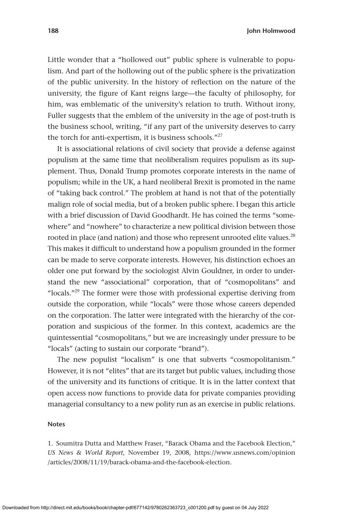Little wonder that a "hollowed out" public sphere is vulnerable to populism. And part of the hollowing out of the public sphere is the privatization of the public university. In the history of reflection on the nature of the university, the figure of Kant reigns large—the faculty of philosophy, for him, was emblematic of the university's relation to truth. Without irony, Fuller suggests that the emblem of the university in the age of post-truth is the business school, writing, "if any part of the university deserves to carry the torch for anti-expertism, it is business schools."<sup>27</sup>

It is associational relations of civil society that provide a defense against populism at the same time that neoliberalism requires populism as its supplement. Thus, Donald Trump promotes corporate interests in the name of populism; while in the UK, a hard neoliberal Brexit is promoted in the name of "taking back control." The problem at hand is not that of the potentially malign role of social media, but of a broken public sphere. I began this article with a brief discussion of David Goodhardt. He has coined the terms "somewhere" and "nowhere" to characterize a new political division between those rooted in place (and nation) and those who represent unrooted elite values.<sup>28</sup> This makes it difficult to understand how a populism grounded in the former can be made to serve corporate interests. However, his distinction echoes an older one put forward by the sociologist Alvin Gouldner, in order to understand the new "associational" corporation, that of "cosmopolitans" and "locals."<sup>29</sup> The former were those with professional expertise deriving from outside the corporation, while "locals" were those whose careers depended on the corporation. The latter were integrated with the hierarchy of the corporation and suspicious of the former. In this context, academics are the quintessential "cosmopolitans," but we are increasingly under pressure to be "locals" (acting to sustain our corporate "brand").

The new populist "localism" is one that subverts "cosmopolitanism." However, it is not "elites" that are its target but public values, including those of the university and its functions of critique. It is in the latter context that open access now functions to provide data for private companies providing managerial consultancy to a new polity run as an exercise in public relations.

#### **Notes**

1. Soumitra Dutta and Matthew Fraser, "Barack Obama and the Facebook Election," *US News & World Report*, November 19, 2008, [https://www.usnews.com/opinion](https://www.usnews.com/opinion/articles/2008/11/19/barack-obama-and-the-facebook-election) [/articles/2008/11/19/barack-obama-and-the-facebook-election.](https://www.usnews.com/opinion/articles/2008/11/19/barack-obama-and-the-facebook-election)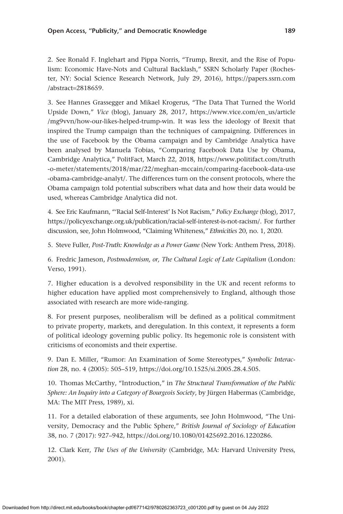2. See Ronald F. Inglehart and Pippa Norris, "Trump, Brexit, and the Rise of Populism: Economic Have-Nots and Cultural Backlash," SSRN Scholarly Paper (Rochester, NY: Social Science Research Network, July 29, 2016), [https://papers.ssrn.com](https://papers.ssrn.com/abstract=2818659) [/abstract](https://papers.ssrn.com/abstract=2818659)=2818659.

3. See Hannes Grassegger and Mikael Krogerus, "The Data That Turned the World Upside Down," *Vice* (blog), January 28, 2017, [https://www.vice.com/en\\_us/article](https://www.vice.com/en_us/article/mg9vvn/how-our-likes-helped-trump-win) [/mg9vvn/how-our-likes-helped-trump-win](https://www.vice.com/en_us/article/mg9vvn/how-our-likes-helped-trump-win). It was less the ideology of Brexit that inspired the Trump campaign than the techniques of campaigning. Differences in the use of Facebook by the Obama campaign and by Cambridge Analytica have been analysed by Manuela Tobias, "Comparing Facebook Data Use by Obama, Cambridge Analytica," PolitFact, March 22, 2018, [https://www.politifact.com/truth](https://www.politifact.com/truth-o-meter/statements/2018/mar/22/meghan-mccain/comparing-facebook-data-use-obama-cambridge-analyt/) [-o-meter/statements/2018/mar/22/meghan-mccain/comparing-facebook-data-use](https://www.politifact.com/truth-o-meter/statements/2018/mar/22/meghan-mccain/comparing-facebook-data-use-obama-cambridge-analyt/) [-obama-cambridge-analyt/](https://www.politifact.com/truth-o-meter/statements/2018/mar/22/meghan-mccain/comparing-facebook-data-use-obama-cambridge-analyt/). The differences turn on the consent protocols, where the Obama campaign told potential subscribers what data and how their data would be used, whereas Cambridge Analytica did not.

4. See Eric Kaufmann, "'Racial Self-Interest' Is Not Racism," *Policy Exchange* (blog), 2017, <https://policyexchange.org.uk/publication/racial-self-interest-is-not-racism/>. For further discussion, see, John Holmwood, "Claiming Whiteness," *Ethnicities* 20, no. 1, 2020.

5. Steve Fuller, *Post-Truth: Knowledge as a Power Game* (New York: Anthem Press, 2018).

6. Fredric Jameson, *Postmodernism, or, The Cultural Logic of Late Capitalism* (London: Verso, 1991).

7. Higher education is a devolved responsibility in the UK and recent reforms to higher education have applied most comprehensively to England, although those associated with research are more wide-ranging.

8. For present purposes, neoliberalism will be defined as a political commitment to private property, markets, and deregulation. In this context, it represents a form of political ideology governing public policy. Its hegemonic role is consistent with criticisms of economists and their expertise.

9. Dan E. Miller, "Rumor: An Examination of Some Stereotypes," *Symbolic Interaction* 28, no. 4 (2005): 505–519, [https://doi.org/10.1525/si.2005.28.4.505.](https://doi.org/10.1525/si.2005.28.4.505)

10. Thomas McCarthy, "Introduction," in *The Structural Transformation of the Public Sphere: An Inquiry into a Category of Bourgeois Society*, by Jürgen Habermas (Cambridge, MA: The MIT Press, 1989), xi.

11. For a detailed elaboration of these arguments, see John Holmwood, "The University, Democracy and the Public Sphere," *British Journal of Sociology of Education* 38, no. 7 (2017): 927–942, <https://doi.org/10.1080/01425692.2016.1220286>.

12. Clark Kerr, *The Uses of the University* (Cambridge, MA: Harvard University Press, 2001).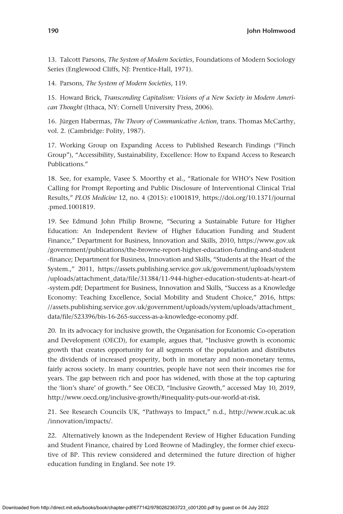13. Talcott Parsons, *The System of Modern Societies*, Foundations of Modern Sociology Series (Englewood Cliffs, NJ: Prentice-Hall, 1971).

14. Parsons, *The System of Modern Societies*, 119.

15. Howard Brick, *Transcending Capitalism: Visions of a New Society in Modern American Thought* (Ithaca, NY: Cornell University Press, 2006).

16. Jürgen Habermas, *The Theory of Communicative Action*, trans. Thomas McCarthy, vol. 2. (Cambridge: Polity, 1987).

17. Working Group on Expanding Access to Published Research Findings ("Finch Group"), "Accessibility, Sustainability, Excellence: How to Expand Access to Research Publications."

18. See, for example, Vasee S. Moorthy et al., "Rationale for WHO's New Position Calling for Prompt Reporting and Public Disclosure of Interventional Clinical Trial Results," *PLOS Medicine* 12, no. 4 (2015): e1001819, [https://doi.org/10.1371/journal](https://doi.org/10.1371/journal.pmed.1001819) [.pmed.1001819.](https://doi.org/10.1371/journal.pmed.1001819)

19. See Edmund John Philip Browne, "Securing a Sustainable Future for Higher Education: An Independent Review of Higher Education Funding and Student Finance," Department for Business, Innovation and Skills, 2010, [https://www.gov.uk](https://www.gov.uk/government/publications/the-browne-report-higher-education-funding-and-student-finance) [/government/publications/the-browne-report-higher-education-funding-and-student](https://www.gov.uk/government/publications/the-browne-report-higher-education-funding-and-student-finance) [-finance;](https://www.gov.uk/government/publications/the-browne-report-higher-education-funding-and-student-finance) Department for Business, Innovation and Skills, "Students at the Heart of the System.," 2011, [https://assets.publishing.service.gov.uk/government/uploads/system](https://assets.publishing.service.gov.uk/government/uploads/system/uploads/attachment_data/file/31384/11-944-higher-education-students-at-heart-of-system.pdf) [/uploads/attachment\\_data/file/31384/11-944-higher-education-students-at-heart-of](https://assets.publishing.service.gov.uk/government/uploads/system/uploads/attachment_data/file/31384/11-944-higher-education-students-at-heart-of-system.pdf) [-system.pdf;](https://assets.publishing.service.gov.uk/government/uploads/system/uploads/attachment_data/file/31384/11-944-higher-education-students-at-heart-of-system.pdf) Department for Business, Innovation and Skills, "Success as a Knowledge Economy: Teaching Excellence, Social Mobility and Student Choice," 2016, [https:](https://assets.publishing.service.gov.uk/government/uploads/system/uploads/attachment_data/file/523396/bis-16-265-success-as-a-knowledge-economy.pdf) [//assets.publishing.service.gov.uk/government/uploads/system/uploads/attachment\\_](https://assets.publishing.service.gov.uk/government/uploads/system/uploads/attachment_data/file/523396/bis-16-265-success-as-a-knowledge-economy.pdf) [data/file/523396/bis-16-265-success-as-a-knowledge-economy.pdf](https://assets.publishing.service.gov.uk/government/uploads/system/uploads/attachment_data/file/523396/bis-16-265-success-as-a-knowledge-economy.pdf).

20. In its advocacy for inclusive growth, the Organisation for Economic Co-operation and Development (OECD), for example, argues that, "Inclusive growth is economic growth that creates opportunity for all segments of the population and distributes the dividends of increased prosperity, both in monetary and non-monetary terms, fairly across society. In many countries, people have not seen their incomes rise for years. The gap between rich and poor has widened, with those at the top capturing the 'lion's share' of growth." See OECD, "Inclusive Growth," accessed May 10, 2019, [http://www.oecd.org/inclusive-growth/#inequality-puts-our-world-at-risk.](http://www.oecd.org/inclusive-growth/#inequality-puts-our-world-at-risk)

21. See Research Councils UK, "Pathways to Impact," n.d., [http://www.rcuk.ac.uk](http://www.rcuk.ac.uk/innovation/impacts/) [/innovation/impacts/.](http://www.rcuk.ac.uk/innovation/impacts/)

22. Alternatively known as the Independent Review of Higher Education Funding and Student Finance, chaired by Lord Browne of Madingley, the former chief executive of BP. This review considered and determined the future direction of higher education funding in England. See note 19.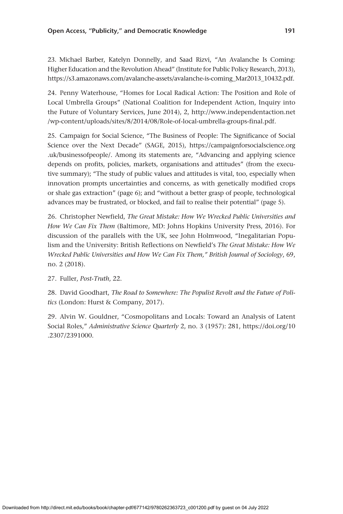23. Michael Barber, Katelyn Donnelly, and Saad Rizvi, "An Avalanche Is Coming: Higher Education and the Revolution Ahead" (Institute for Public Policy Research, 2013), [https://s3.amazonaws.com/avalanche-assets/avalanche-is-coming\\_Mar2013\\_10432.pdf.](https://s3.amazonaws.com/avalanche-assets/avalanche-is-coming_Mar2013_10432.pdf)

24. Penny Waterhouse, "Homes for Local Radical Action: The Position and Role of Local Umbrella Groups" (National Coalition for Independent Action, Inquiry into the Future of Voluntary Services, June 2014), 2, [http://www.independentaction.net](http://www.independentaction.net/wp-content/uploads/sites/8/2014/08/Role-of-local-umbrella-groups-final.pdf) [/wp-content/uploads/sites/8/2014/08/Role-of-local-umbrella-groups-final.pdf.](http://www.independentaction.net/wp-content/uploads/sites/8/2014/08/Role-of-local-umbrella-groups-final.pdf)

25. Campaign for Social Science, "The Business of People: The Significance of Social Science over the Next Decade" (SAGE, 2015), [https://campaignforsocialscience.org](https://campaignforsocialscience.org.uk/businessofpeople/) [.uk/businessofpeople/](https://campaignforsocialscience.org.uk/businessofpeople/). Among its statements are, "Advancing and applying science depends on profits, policies, markets, organisations and attitudes" (from the executive summary); "The study of public values and attitudes is vital, too, especially when innovation prompts uncertainties and concerns, as with genetically modified crops or shale gas extraction" (page 6); and "without a better grasp of people, technological advances may be frustrated, or blocked, and fail to realise their potential" (page 5).

26. Christopher Newfield, *The Great Mistake: How We Wrecked Public Universities and How We Can Fix Them* (Baltimore, MD: Johns Hopkins University Press, 2016). For discussion of the parallels with the UK, see John Holmwood, "Inegalitarian Populism and the University: British Reflections on Newfield's *The Great Mistake: How We Wrecked Public Universities and How We Can Fix Them," British Journal of Sociology*, 69, no. 2 (2018).

27. Fuller, *Post-Truth*, 22.

28. David Goodhart, *The Road to Somewhere: The Populist Revolt and the Future of Politics* (London: Hurst & Company, 2017).

29. Alvin W. Gouldner, "Cosmopolitans and Locals: Toward an Analysis of Latent Social Roles," *Administrative Science Quarterly* 2, no. 3 (1957): 281, [https://doi.org/10](https://doi.org/10.2307/2391000) [.2307/2391000.](https://doi.org/10.2307/2391000)